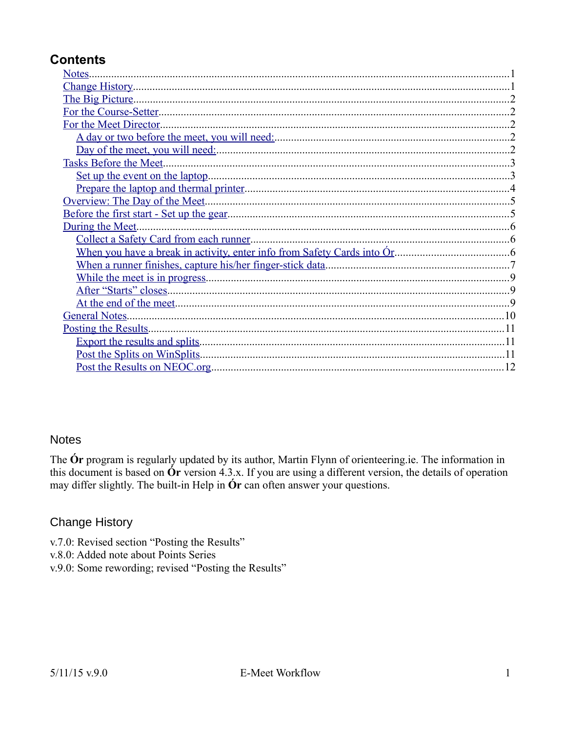# **Contents**

| Notes.                                 |                |
|----------------------------------------|----------------|
|                                        |                |
|                                        |                |
|                                        |                |
| For the Meet Director.                 |                |
|                                        | $\overline{2}$ |
|                                        |                |
| Tasks Before the Meet                  |                |
|                                        |                |
|                                        |                |
|                                        |                |
|                                        |                |
| During the Meet.                       |                |
| Collect a Safety Card from each runner |                |
|                                        |                |
|                                        |                |
|                                        |                |
|                                        |                |
|                                        |                |
| General Notes                          |                |
|                                        |                |
|                                        |                |
| Post the Splits on WinSplits           |                |
|                                        |                |

### <span id="page-0-1"></span>**Notes**

The **Ór** program is regularly updated by its author, Martin Flynn of orienteering ie. The information in this document is based on  $\acute{O}r$  version 4.3.x. If you are using a different version, the details of operation may differ slightly. The built-in Help in **Ór** can often answer your questions.

# <span id="page-0-0"></span>**Change History**

- v.7.0: Revised section "Posting the Results"
- v.8.0: Added note about Points Series
- v.9.0: Some rewording; revised "Posting the Results"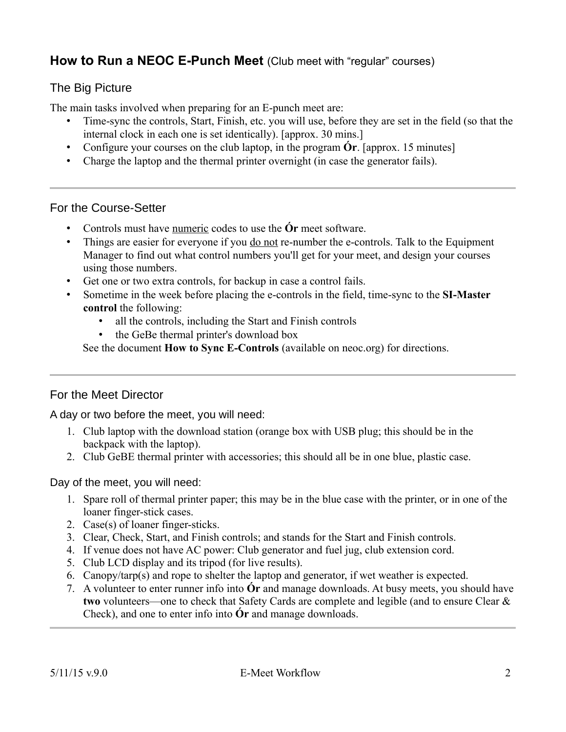# **How to Run a NEOC E-Punch Meet** (Club meet with "regular" courses)

# <span id="page-1-4"></span>The Big Picture

The main tasks involved when preparing for an E-punch meet are:

- Time-sync the controls, Start, Finish, etc. you will use, before they are set in the field (so that the internal clock in each one is set identically). [approx. 30 mins.]
- Configure your courses on the club laptop, in the program **Ór**. [approx. 15 minutes]
- Charge the laptop and the thermal printer overnight (in case the generator fails).

### <span id="page-1-3"></span>For the Course-Setter

- Controls must have numeric codes to use the **Ór** meet software.
- Things are easier for everyone if you <u>do not</u> re-number the e-controls. Talk to the Equipment Manager to find out what control numbers you'll get for your meet, and design your courses using those numbers.
- Get one or two extra controls, for backup in case a control fails.
- Sometime in the week before placing the e-controls in the field, time-sync to the **SI-Master control** the following:
	- all the controls, including the Start and Finish controls
	- the GeBe thermal printer's download box

See the document **How to Sync E-Controls** (available on neoc.org) for directions.

### <span id="page-1-2"></span>For the Meet Director

<span id="page-1-1"></span>A day or two before the meet, you will need:

- 1. Club laptop with the download station (orange box with USB plug; this should be in the backpack with the laptop).
- 2. Club GeBE thermal printer with accessories; this should all be in one blue, plastic case.

<span id="page-1-0"></span>Day of the meet, you will need:

- 1. Spare roll of thermal printer paper; this may be in the blue case with the printer, or in one of the loaner finger-stick cases.
- 2. Case(s) of loaner finger-sticks.
- 3. Clear, Check, Start, and Finish controls; and stands for the Start and Finish controls.
- 4. If venue does not have AC power: Club generator and fuel jug, club extension cord.
- 5. Club LCD display and its tripod (for live results).
- 6. Canopy/tarp(s) and rope to shelter the laptop and generator, if wet weather is expected.
- 7. A volunteer to enter runner info into **Ór** and manage downloads. At busy meets, you should have **two** volunteers—one to check that Safety Cards are complete and legible (and to ensure Clear & Check), and one to enter info into **Ór** and manage downloads.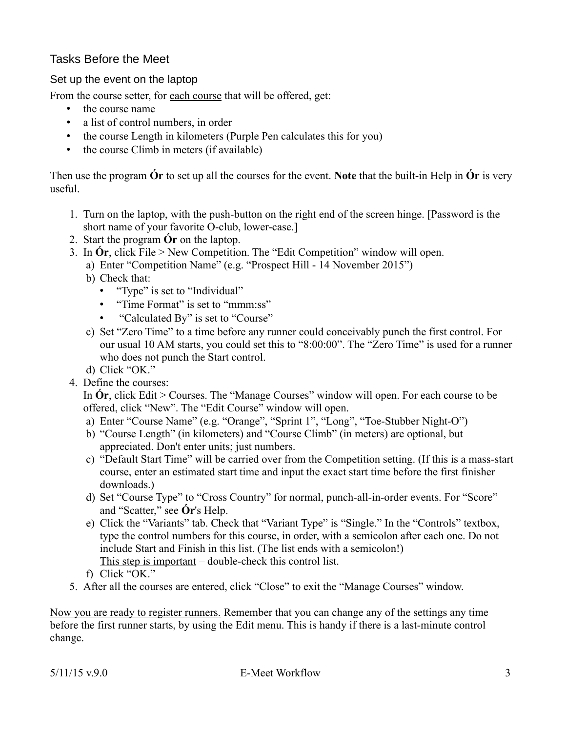# <span id="page-2-1"></span>Tasks Before the Meet

<span id="page-2-0"></span>Set up the event on the laptop

From the course setter, for each course that will be offered, get:

- the course name
- a list of control numbers, in order
- the course Length in kilometers (Purple Pen calculates this for you)
- the course Climb in meters (if available)

Then use the program **Ór** to set up all the courses for the event. **Note** that the built-in Help in **Ór** is very useful.

- 1. Turn on the laptop, with the push-button on the right end of the screen hinge. [Password is the short name of your favorite O-club, lower-case.]
- 2. Start the program **Ór** on the laptop.
- 3. In **Ór**, click File > New Competition. The "Edit Competition" window will open.
	- a) Enter "Competition Name" (e.g. "Prospect Hill 14 November 2015")
	- b) Check that:
		- "Type" is set to "Individual"
		- "Time Format" is set to "mmm:ss"
		- "Calculated By" is set to "Course"
	- c) Set "Zero Time" to a time before any runner could conceivably punch the first control. For our usual 10 AM starts, you could set this to "8:00:00". The "Zero Time" is used for a runner who does not punch the Start control.
	- d) Click "OK."
- 4. Define the courses:

In **Ór**, click Edit > Courses. The "Manage Courses" window will open. For each course to be offered, click "New". The "Edit Course" window will open.

- a) Enter "Course Name" (e.g. "Orange", "Sprint 1", "Long", "Toe-Stubber Night-O")
- b) "Course Length" (in kilometers) and "Course Climb" (in meters) are optional, but appreciated. Don't enter units; just numbers.
- c) "Default Start Time" will be carried over from the Competition setting. (If this is a mass-start course, enter an estimated start time and input the exact start time before the first finisher downloads.)
- d) Set "Course Type" to "Cross Country" for normal, punch-all-in-order events. For "Score" and "Scatter," see **Ór**'s Help.
- e) Click the "Variants" tab. Check that "Variant Type" is "Single." In the "Controls" textbox, type the control numbers for this course, in order, with a semicolon after each one. Do not include Start and Finish in this list. (The list ends with a semicolon!) This step is important – double-check this control list.
- f) Click "OK."
- 5. After all the courses are entered, click "Close" to exit the "Manage Courses" window.

Now you are ready to register runners. Remember that you can change any of the settings any time before the first runner starts, by using the Edit menu. This is handy if there is a last-minute control change.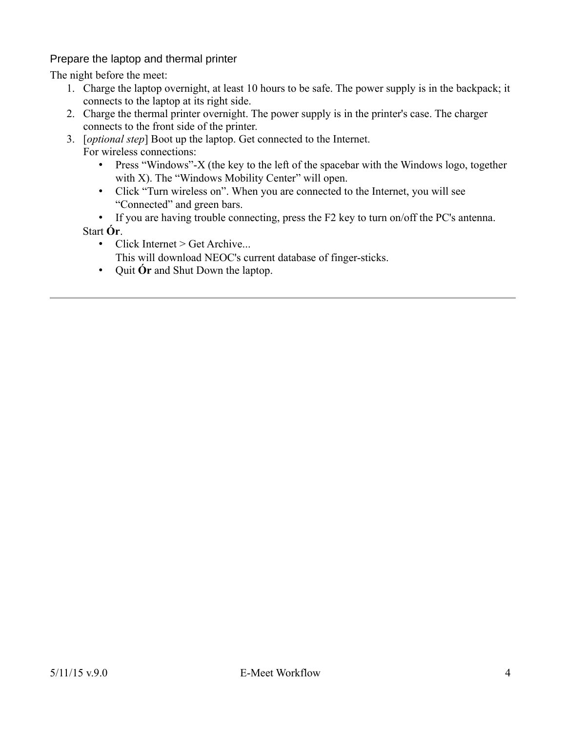<span id="page-3-0"></span>Prepare the laptop and thermal printer

The night before the meet:

- 1. Charge the laptop overnight, at least 10 hours to be safe. The power supply is in the backpack; it connects to the laptop at its right side.
- 2. Charge the thermal printer overnight. The power supply is in the printer's case. The charger connects to the front side of the printer.
- 3. [*optional step*] Boot up the laptop. Get connected to the Internet. For wireless connections:
	- Press "Windows"-X (the key to the left of the spacebar with the Windows logo, together with X). The "Windows Mobility Center" will open.
	- Click "Turn wireless on". When you are connected to the Internet, you will see "Connected" and green bars.
	- If you are having trouble connecting, press the F2 key to turn on/off the PC's antenna. Start **Ór**.
		- Click Internet  $>$  Get Archive...
		- This will download NEOC's current database of finger-sticks.
		- Quit **Ór** and Shut Down the laptop.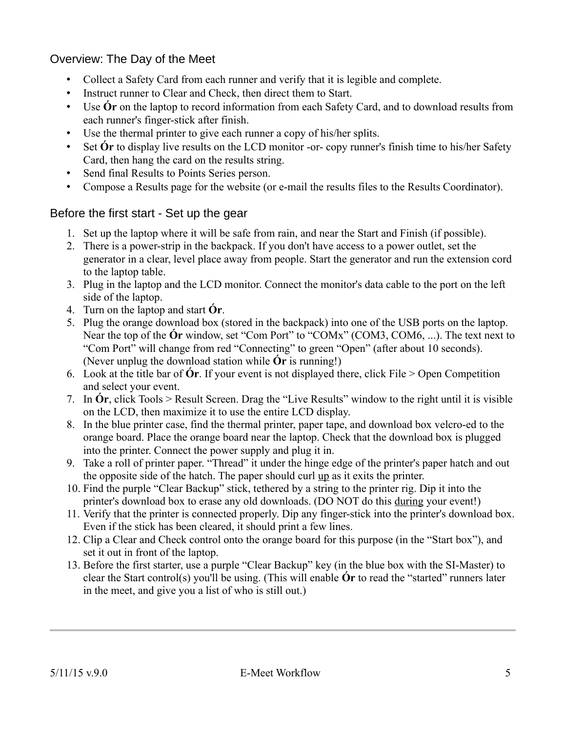# <span id="page-4-1"></span>Overview: The Day of the Meet

- Collect a Safety Card from each runner and verify that it is legible and complete.
- Instruct runner to Clear and Check, then direct them to Start.
- Use **Ór** on the laptop to record information from each Safety Card, and to download results from each runner's finger-stick after finish.
- Use the thermal printer to give each runner a copy of his/her splits.
- Set **Ór** to display live results on the LCD monitor -or- copy runner's finish time to his/her Safety Card, then hang the card on the results string.
- Send final Results to Points Series person.
- Compose a Results page for the website (or e-mail the results files to the Results Coordinator).

## <span id="page-4-0"></span>Before the first start - Set up the gear

- 1. Set up the laptop where it will be safe from rain, and near the Start and Finish (if possible).
- 2. There is a power-strip in the backpack. If you don't have access to a power outlet, set the generator in a clear, level place away from people. Start the generator and run the extension cord to the laptop table.
- 3. Plug in the laptop and the LCD monitor. Connect the monitor's data cable to the port on the left side of the laptop.
- 4. Turn on the laptop and start **Ór**.
- 5. Plug the orange download box (stored in the backpack) into one of the USB ports on the laptop. Near the top of the **Ór** window, set "Com Port" to "COMx" (COM3, COM6, ...). The text next to "Com Port" will change from red "Connecting" to green "Open" (after about 10 seconds). (Never unplug the download station while **Ór** is running!)
- 6. Look at the title bar of **Ór**. If your event is not displayed there, click File > Open Competition and select your event.
- 7. In **Ór**, click Tools > Result Screen. Drag the "Live Results" window to the right until it is visible on the LCD, then maximize it to use the entire LCD display.
- 8. In the blue printer case, find the thermal printer, paper tape, and download box velcro-ed to the orange board. Place the orange board near the laptop. Check that the download box is plugged into the printer. Connect the power supply and plug it in.
- 9. Take a roll of printer paper. "Thread" it under the hinge edge of the printer's paper hatch and out the opposite side of the hatch. The paper should curl up as it exits the printer.
- 10. Find the purple "Clear Backup" stick, tethered by a string to the printer rig. Dip it into the printer's download box to erase any old downloads. (DO NOT do this during your event!)
- 11. Verify that the printer is connected properly. Dip any finger-stick into the printer's download box. Even if the stick has been cleared, it should print a few lines.
- 12. Clip a Clear and Check control onto the orange board for this purpose (in the "Start box"), and set it out in front of the laptop.
- 13. Before the first starter, use a purple "Clear Backup" key (in the blue box with the SI-Master) to clear the Start control(s) you'll be using. (This will enable **Ór** to read the "started" runners later in the meet, and give you a list of who is still out.)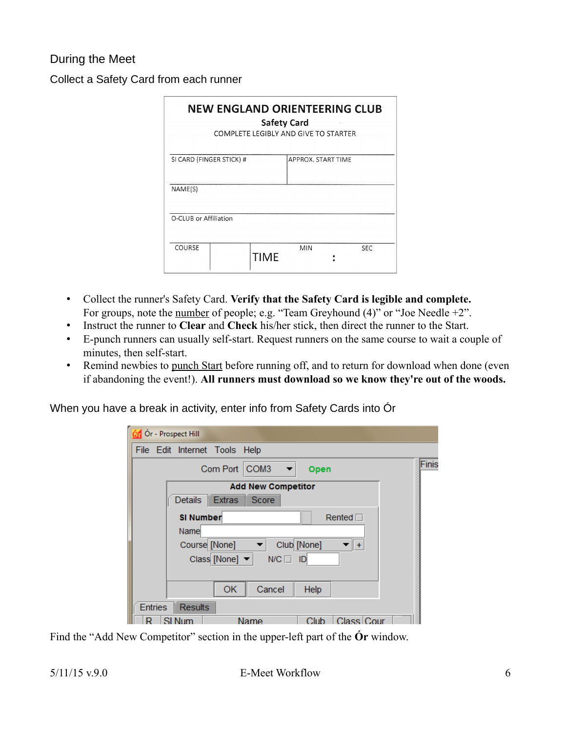# <span id="page-5-2"></span>During the Meet

<span id="page-5-1"></span>Collect a Safety Card from each runner

| <b>NEW ENGLAND ORIENTEERING CLUB</b><br><b>Safety Card</b><br>COMPLETE LEGIBLY AND GIVE TO STARTER |             |                    |            |  |  |  |  |
|----------------------------------------------------------------------------------------------------|-------------|--------------------|------------|--|--|--|--|
| SI CARD (FINGER STICK) #                                                                           |             | APPROX. START TIME |            |  |  |  |  |
| NAME(S)                                                                                            |             |                    |            |  |  |  |  |
| O-CLUB or Affiliation                                                                              |             |                    |            |  |  |  |  |
| COURSE                                                                                             | <b>TIME</b> | <b>MIN</b>         | <b>SEC</b> |  |  |  |  |

- Collect the runner's Safety Card. **Verify that the Safety Card is legible and complete.** For groups, note the number of people; e.g. "Team Greyhound (4)" or "Joe Needle +2".
- Instruct the runner to **Clear** and **Check** his/her stick, then direct the runner to the Start.
- E-punch runners can usually self-start. Request runners on the same course to wait a couple of minutes, then self-start.
- Remind newbies to punch Start before running off, and to return for download when done (even if abandoning the event!). **All runners must download so we know they're out of the woods.**

<span id="page-5-0"></span>When you have a break in activity, enter info from Safety Cards into Ór

| Ór - Prospect Hill                            |
|-----------------------------------------------|
| File Edit Internet Tools Help                 |
| Finis<br>Com Port<br>COM <sub>3</sub><br>Open |
| <b>Add New Competitor</b>                     |
| <b>Extras</b><br>Score<br>Details             |
| <b>SI Number</b><br>Rented $\Box$             |
| Name                                          |
| Club [None]<br>Course [None]                  |
| Class [None] ▼<br>$N/C \Box$<br>ID            |
|                                               |
| OK<br>Cancel<br>Help                          |
| <b>Entries</b><br><b>Results</b>              |
| Class Cour<br>Club<br>Name                    |

Find the "Add New Competitor" section in the upper-left part of the **Ór** window.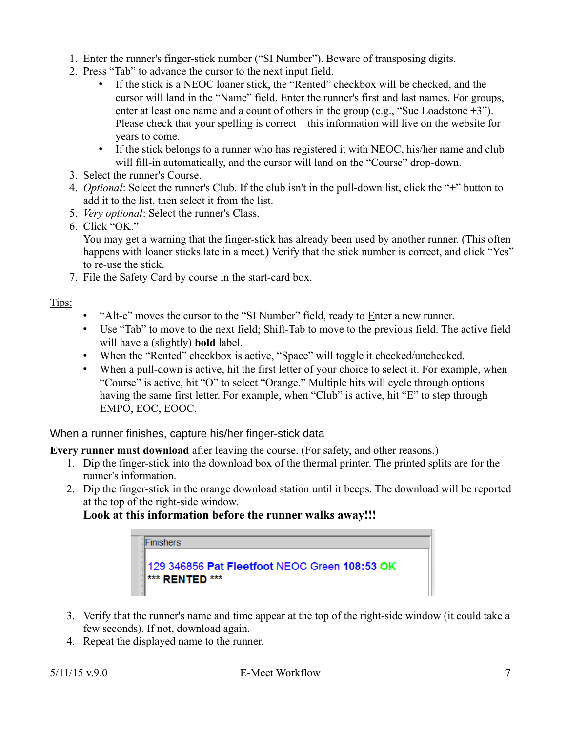- 1. Enter the runner's finger-stick number ("SI Number"). Beware of transposing digits.
- 2. Press "Tab" to advance the cursor to the next input field.
	- If the stick is a NEOC loaner stick, the "Rented" checkbox will be checked, and the cursor will land in the "Name" field. Enter the runner's first and last names. For groups, enter at least one name and a count of others in the group (e.g., "Sue Loadstone +3"). Please check that your spelling is correct – this information will live on the website for years to come.
	- If the stick belongs to a runner who has registered it with NEOC, his/her name and club will fill-in automatically, and the cursor will land on the "Course" drop-down.
- 3. Select the runner's Course.
- 4. *Optional*: Select the runner's Club. If the club isn't in the pull-down list, click the "+" button to add it to the list, then select it from the list.
- 5. *Very optional*: Select the runner's Class.
- 6. Click "OK." You may get a warning that the finger-stick has already been used by another runner. (This often happens with loaner sticks late in a meet.) Verify that the stick number is correct, and click "Yes" to re-use the stick.
- 7. File the Safety Card by course in the start-card box.

Tips:

- "Alt-e" moves the cursor to the "SI Number" field, ready to Enter a new runner.
- Use "Tab" to move to the next field; Shift-Tab to move to the previous field. The active field will have a (slightly) **bold** label.
- When the "Rented" checkbox is active, "Space" will toggle it checked/unchecked.
- When a pull-down is active, hit the first letter of your choice to select it. For example, when "Course" is active, hit "O" to select "Orange." Multiple hits will cycle through options having the same first letter. For example, when "Club" is active, hit "E" to step through EMPO, EOC, EOOC.

<span id="page-6-0"></span>When a runner finishes, capture his/her finger-stick data

**Every runner must download** after leaving the course. (For safety, and other reasons.)

- 1. Dip the finger-stick into the download box of the thermal printer. The printed splits are for the runner's information.
- 2. Dip the finger-stick in the orange download station until it beeps. The download will be reported at the top of the right-side window.

# **Look at this information before the runner walks away!!!**



- 3. Verify that the runner's name and time appear at the top of the right-side window (it could take a few seconds). If not, download again.
- 4. Repeat the displayed name to the runner.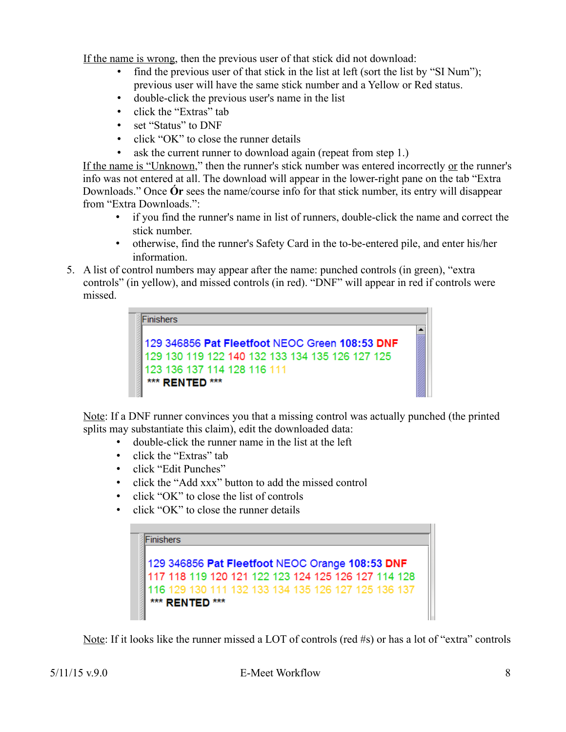If the name is wrong, then the previous user of that stick did not download:

- find the previous user of that stick in the list at left (sort the list by "SI Num"); previous user will have the same stick number and a Yellow or Red status.
- double-click the previous user's name in the list
- click the "Extras" tab
- set "Status" to DNF
- click "OK" to close the runner details
- ask the current runner to download again (repeat from step 1.)

If the name is "Unknown," then the runner's stick number was entered incorrectly or the runner's info was not entered at all. The download will appear in the lower-right pane on the tab "Extra Downloads." Once **Ór** sees the name/course info for that stick number, its entry will disappear from "Extra Downloads.":

- if you find the runner's name in list of runners, double-click the name and correct the stick number.
- otherwise, find the runner's Safety Card in the to-be-entered pile, and enter his/her information.
- 5. A list of control numbers may appear after the name: punched controls (in green), "extra controls" (in yellow), and missed controls (in red). "DNF" will appear in red if controls were missed.

| Finishers                                       |  |
|-------------------------------------------------|--|
| 129 346856 Pat Fleetfoot NEOC Green 108:53 DNF  |  |
| 129 130 119 122 140 132 133 134 135 126 127 125 |  |
| 123 136 137 114 128 116 111                     |  |
| *** RENTED ***                                  |  |

Note: If a DNF runner convinces you that a missing control was actually punched (the printed splits may substantiate this claim), edit the downloaded data:

- double-click the runner name in the list at the left
- click the "Extras" tab
- click "Edit Punches"
- click the "Add xxx" button to add the missed control
- click "OK" to close the list of controls
- click "OK" to close the runner details

| <b>iFinishers</b>                                   |                |  |  |  |  |  |  |
|-----------------------------------------------------|----------------|--|--|--|--|--|--|
|                                                     |                |  |  |  |  |  |  |
| 129 346856 Pat Fleetfoot NEOC Orange 108:53 DNF     |                |  |  |  |  |  |  |
| 117 118 119 120 121 122 123 124 125 126 127 114 128 |                |  |  |  |  |  |  |
| 116 129 130 111 132 133 134 135 126 127 125 136 137 |                |  |  |  |  |  |  |
|                                                     | *** RENTED *** |  |  |  |  |  |  |

Note: If it looks like the runner missed a LOT of controls (red #s) or has a lot of "extra" controls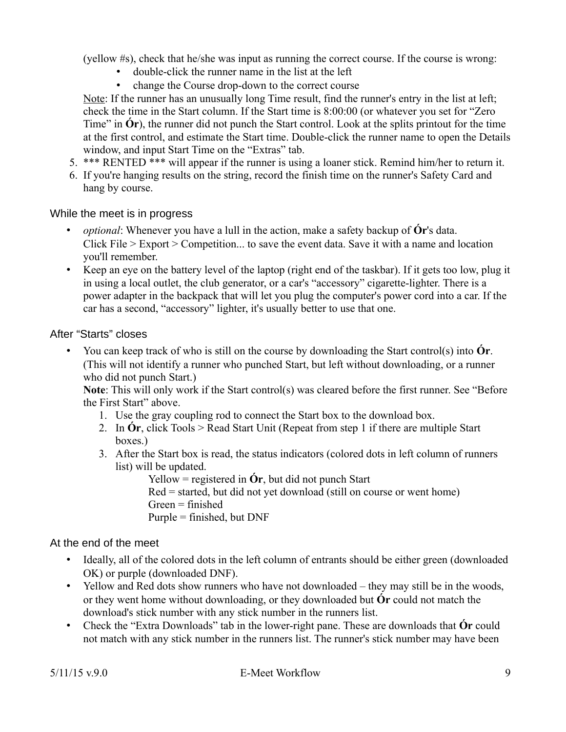(yellow #s), check that he/she was input as running the correct course. If the course is wrong:

- double-click the runner name in the list at the left
- change the Course drop-down to the correct course

Note: If the runner has an unusually long Time result, find the runner's entry in the list at left; check the time in the Start column. If the Start time is 8:00:00 (or whatever you set for "Zero Time" in **Ór**), the runner did not punch the Start control. Look at the splits printout for the time at the first control, and estimate the Start time. Double-click the runner name to open the Details window, and input Start Time on the "Extras" tab.

- 5. \*\*\* RENTED \*\*\* will appear if the runner is using a loaner stick. Remind him/her to return it.
- 6. If you're hanging results on the string, record the finish time on the runner's Safety Card and hang by course.

### <span id="page-8-2"></span>While the meet is in progress

- *optional*: Whenever you have a lull in the action, make a safety backup of **Ór**'s data. Click File > Export > Competition... to save the event data. Save it with a name and location you'll remember.
- Keep an eye on the battery level of the laptop (right end of the taskbar). If it gets too low, plug it in using a local outlet, the club generator, or a car's "accessory" cigarette-lighter. There is a power adapter in the backpack that will let you plug the computer's power cord into a car. If the car has a second, "accessory" lighter, it's usually better to use that one.

### <span id="page-8-1"></span>After "Starts" closes

• You can keep track of who is still on the course by downloading the Start control(s) into **Ór**. (This will not identify a runner who punched Start, but left without downloading, or a runner who did not punch Start.)

**Note**: This will only work if the Start control(s) was cleared before the first runner. See "Before the First Start" above.

- 1. Use the gray coupling rod to connect the Start box to the download box.
- 2. In **Ór**, click Tools > Read Start Unit (Repeat from step 1 if there are multiple Start boxes.)
- 3. After the Start box is read, the status indicators (colored dots in left column of runners list) will be updated.

Yellow = registered in **Ór**, but did not punch Start Red = started, but did not yet download (still on course or went home)  $Green = finished$ Purple  $=$  finished, but DNF

### <span id="page-8-0"></span>At the end of the meet

- Ideally, all of the colored dots in the left column of entrants should be either green (downloaded OK) or purple (downloaded DNF).
- Yellow and Red dots show runners who have not downloaded they may still be in the woods, or they went home without downloading, or they downloaded but **Ór** could not match the download's stick number with any stick number in the runners list.
- Check the "Extra Downloads" tab in the lower-right pane. These are downloads that **Ór** could not match with any stick number in the runners list. The runner's stick number may have been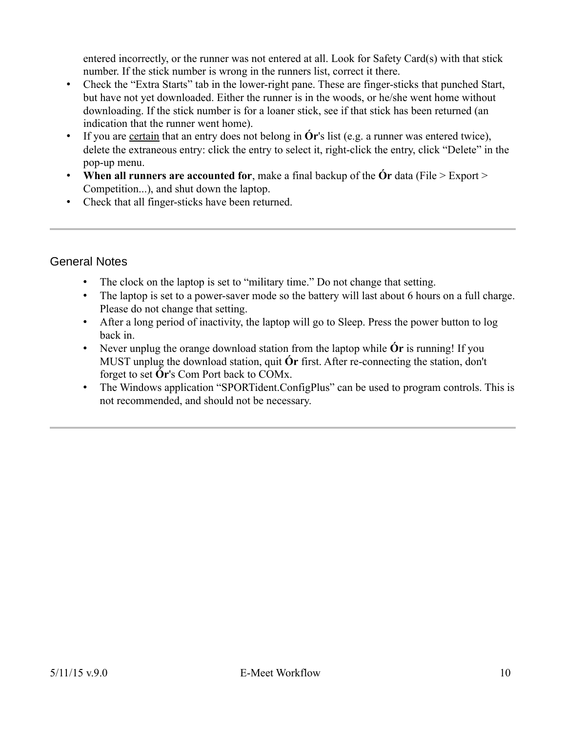entered incorrectly, or the runner was not entered at all. Look for Safety Card(s) with that stick number. If the stick number is wrong in the runners list, correct it there.

- Check the "Extra Starts" tab in the lower-right pane. These are finger-sticks that punched Start, but have not yet downloaded. Either the runner is in the woods, or he/she went home without downloading. If the stick number is for a loaner stick, see if that stick has been returned (an indication that the runner went home).
- If you are <u>certain</u> that an entry does not belong in **Ór**'s list (e.g. a runner was entered twice), delete the extraneous entry: click the entry to select it, right-click the entry, click "Delete" in the pop-up menu.
- **When all runners are accounted for**, make a final backup of the **Ór** data (File > Export > Competition...), and shut down the laptop.
- Check that all finger-sticks have been returned.

## <span id="page-9-0"></span>General Notes

- The clock on the laptop is set to "military time." Do not change that setting.
- The laptop is set to a power-saver mode so the battery will last about 6 hours on a full charge. Please do not change that setting.
- After a long period of inactivity, the laptop will go to Sleep. Press the power button to log back in.
- Never unplug the orange download station from the laptop while **O**r is running! If you MUST unplug the download station, quit **Ór** first. After re-connecting the station, don't forget to set **Ór**'s Com Port back to COMx.
- The Windows application "SPORTident.ConfigPlus" can be used to program controls. This is not recommended, and should not be necessary.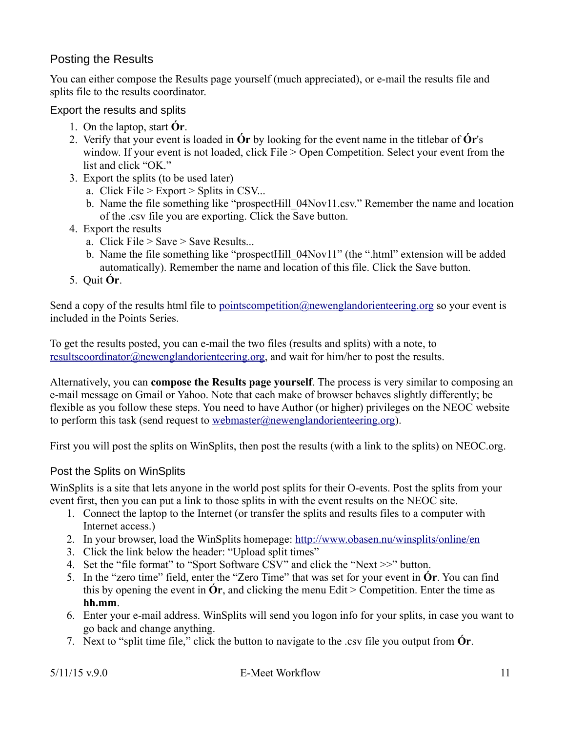# <span id="page-10-2"></span>Posting the Results

You can either compose the Results page yourself (much appreciated), or e-mail the results file and splits file to the results coordinator.

### <span id="page-10-1"></span>Export the results and splits

- 1. On the laptop, start **Ór**.
- 2. Verify that your event is loaded in **Ór** by looking for the event name in the titlebar of **Ór**'s window. If your event is not loaded, click File > Open Competition. Select your event from the list and click "OK."
- 3. Export the splits (to be used later)
	- a. Click File > Export > Splits in CSV...
	- b. Name the file something like "prospectHill\_04Nov11.csv." Remember the name and location of the .csv file you are exporting. Click the Save button.
- 4. Export the results
	- a. Click File  $>$  Save  $>$  Save Results...
	- b. Name the file something like "prospectHill\_04Nov11" (the ".html" extension will be added automatically). Remember the name and location of this file. Click the Save button.
- 5. Quit **Ór**.

Send a copy of the results html file to [pointscompetition@newenglandorienteering.org](mailto:pointscompetition@newenglandorienteering.org) so your event is included in the Points Series.

To get the results posted, you can e-mail the two files (results and splits) with a note, to resultscoordinator@newenglandorienteering.org, and wait for him/her to post the results.

Alternatively, you can **compose the Results page yourself**. The process is very similar to composing an e-mail message on Gmail or Yahoo. Note that each make of browser behaves slightly differently; be flexible as you follow these steps. You need to have Author (or higher) privileges on the NEOC website to perform this task (send request to [webmaster@newenglandorienteering.org\)](mailto:webmaster@newenglandorienteering.org).

First you will post the splits on WinSplits, then post the results (with a link to the splits) on NEOC.org.

### <span id="page-10-0"></span>Post the Splits on WinSplits

WinSplits is a site that lets anyone in the world post splits for their O-events. Post the splits from your event first, then you can put a link to those splits in with the event results on the NEOC site.

- 1. Connect the laptop to the Internet (or transfer the splits and results files to a computer with Internet access.)
- 2. In your browser, load the WinSplits homepage:<http://www.obasen.nu/winsplits/online/en>
- 3. Click the link below the header: "Upload split times"
- 4. Set the "file format" to "Sport Software CSV" and click the "Next >>" button.
- 5. In the "zero time" field, enter the "Zero Time" that was set for your event in **Ór**. You can find this by opening the event in  $\acute{O}r$ , and clicking the menu Edit > Competition. Enter the time as **hh.mm**.
- 6. Enter your e-mail address. WinSplits will send you logon info for your splits, in case you want to go back and change anything.
- 7. Next to "split time file," click the button to navigate to the .csv file you output from **Ór**.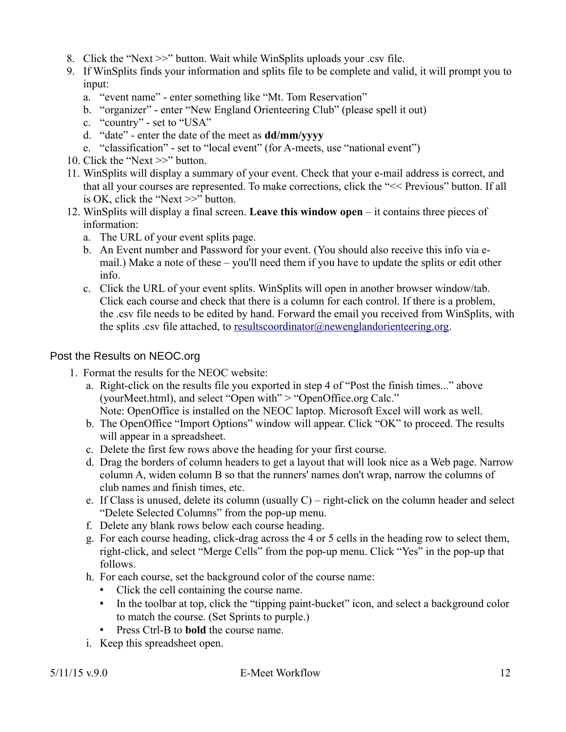- 8. Click the "Next >>" button. Wait while WinSplits uploads your .csv file.
- 9. If WinSplits finds your information and splits file to be complete and valid, it will prompt you to input:
	- a. "event name" enter something like "Mt. Tom Reservation"
	- b. "organizer" enter "New England Orienteering Club" (please spell it out)
	- c. "country" set to "USA"
	- d. "date" enter the date of the meet as **dd/mm/yyyy**
	- e. "classification" set to "local event" (for A-meets, use "national event")
- 10. Click the "Next >>" button.
- 11. WinSplits will display a summary of your event. Check that your e-mail address is correct, and that all your courses are represented. To make corrections, click the "<< Previous" button. If all is OK, click the "Next >>" button.
- 12. WinSplits will display a final screen. **Leave this window open** it contains three pieces of information:
	- a. The URL of your event splits page.
	- b. An Event number and Password for your event. (You should also receive this info via email.) Make a note of these – you'll need them if you have to update the splits or edit other info.
	- c. Click the URL of your event splits. WinSplits will open in another browser window/tab. Click each course and check that there is a column for each control. If there is a problem, the .csv file needs to be edited by hand. Forward the email you received from WinSplits, with the splits .csv file attached, to [resultscoordinator@newenglandorienteering.org.](mailto:resultscoordinator@newenglandorienteering.org)

## <span id="page-11-0"></span>Post the Results on NEOC.org

- 1. Format the results for the NEOC website:
	- a. Right-click on the results file you exported in step 4 of "Post the finish times..." above (yourMeet.html), and select "Open with" > "OpenOffice.org Calc." Note: OpenOffice is installed on the NEOC laptop. Microsoft Excel will work as well.
	- b. The OpenOffice "Import Options" window will appear. Click "OK" to proceed. The results will appear in a spreadsheet.
	- c. Delete the first few rows above the heading for your first course.
	- d. Drag the borders of column headers to get a layout that will look nice as a Web page. Narrow column A, widen column B so that the runners' names don't wrap, narrow the columns of club names and finish times, etc.
	- e. If Class is unused, delete its column (usually  $C$ ) right-click on the column header and select "Delete Selected Columns" from the pop-up menu.
	- f. Delete any blank rows below each course heading.
	- g. For each course heading, click-drag across the 4 or 5 cells in the heading row to select them, right-click, and select "Merge Cells" from the pop-up menu. Click "Yes" in the pop-up that follows.
	- h. For each course, set the background color of the course name:
		- Click the cell containing the course name.
		- In the toolbar at top, click the "tipping paint-bucket" icon, and select a background color to match the course. (Set Sprints to purple.)
		- Press Ctrl-B to **bold** the course name.
	- i. Keep this spreadsheet open.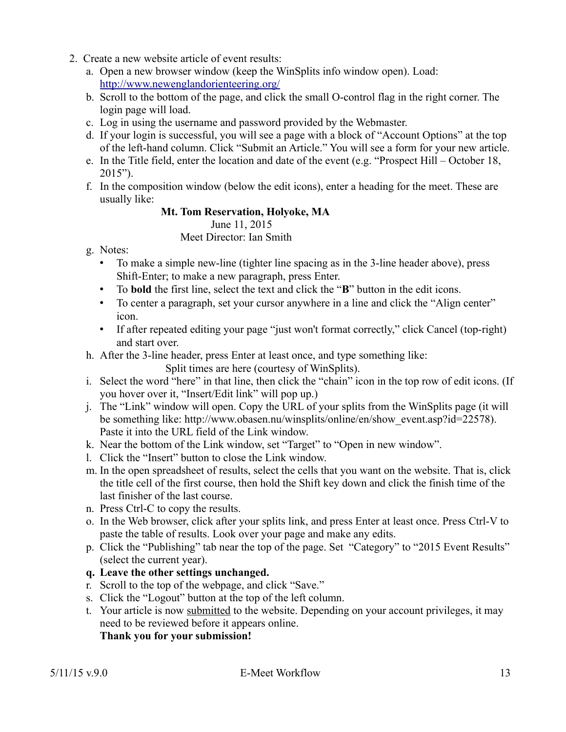- 2. Create a new website article of event results:
	- a. Open a new browser window (keep the WinSplits info window open). Load: <http://www.newenglandorienteering.org/>
	- b. Scroll to the bottom of the page, and click the small O-control flag in the right corner. The login page will load.
	- c. Log in using the username and password provided by the Webmaster.
	- d. If your login is successful, you will see a page with a block of "Account Options" at the top of the left-hand column. Click "Submit an Article." You will see a form for your new article.
	- e. In the Title field, enter the location and date of the event (e.g. "Prospect Hill October 18, 2015").
	- f. In the composition window (below the edit icons), enter a heading for the meet. These are usually like:

# **Mt. Tom Reservation, Holyoke, MA**

June 11, 2015

Meet Director: Ian Smith

- g. Notes:
	- To make a simple new-line (tighter line spacing as in the 3-line header above), press Shift-Enter; to make a new paragraph, press Enter.
	- To **bold** the first line, select the text and click the "**B**" button in the edit icons.
	- To center a paragraph, set your cursor anywhere in a line and click the "Align center" icon.
	- If after repeated editing your page "just won't format correctly," click Cancel (top-right) and start over.
- h. After the 3-line header, press Enter at least once, and type something like:

Split times are here (courtesy of WinSplits).

- i. Select the word "here" in that line, then click the "chain" icon in the top row of edit icons. (If you hover over it, "Insert/Edit link" will pop up.)
- j. The "Link" window will open. Copy the URL of your splits from the WinSplits page (it will be something like: http://www.obasen.nu/winsplits/online/en/show\_event.asp?id=22578). Paste it into the URL field of the Link window.
- k. Near the bottom of the Link window, set "Target" to "Open in new window".
- l. Click the "Insert" button to close the Link window.
- m. In the open spreadsheet of results, select the cells that you want on the website. That is, click the title cell of the first course, then hold the Shift key down and click the finish time of the last finisher of the last course.
- n. Press Ctrl-C to copy the results.
- o. In the Web browser, click after your splits link, and press Enter at least once. Press Ctrl-V to paste the table of results. Look over your page and make any edits.
- p. Click the "Publishing" tab near the top of the page. Set "Category" to "2015 Event Results" (select the current year).
- **q. Leave the other settings unchanged.**
- r. Scroll to the top of the webpage, and click "Save."
- s. Click the "Logout" button at the top of the left column.
- t. Your article is now submitted to the website. Depending on your account privileges, it may need to be reviewed before it appears online.

**Thank you for your submission!**